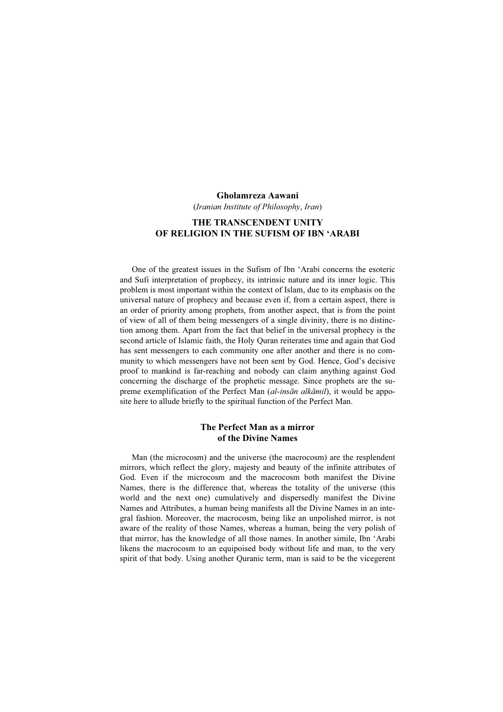#### Gholamreza Aawani

(Iranian Institute of Philosophy, Iran)

# THE TRANSCENDENT UNITY OF RELIGION IN THE SUFISM OF IBN 'ARABI

One of the greatest issues in the Sufism of Ibn 'Arabi concerns the esoteric and Sufi interpretation of prophecy, its intrinsic nature and its inner logic. This problem is most important within the context of Islam, due to its emphasis on the universal nature of prophecy and because even if, from a certain aspect, there is an order of priority among prophets, from another aspect, that is from the point of view of all of them being messengers of a single divinity, there is no distinction among them. Apart from the fact that belief in the universal prophecy is the second article of Islamic faith, the Holy Quran reiterates time and again that God has sent messengers to each community one after another and there is no community to which messengers have not been sent by God. Hence, God's decisive proof to mankind is far-reaching and nobody can claim anything against God concerning the discharge of the prophetic message. Since prophets are the supreme exemplification of the Perfect Man (al-insān alkāmil), it would be apposite here to allude briefly to the spiritual function of the Perfect Man.

## The Perfect Man as a mirror of the Divine Names

Man (the microcosm) and the universe (the macrocosm) are the resplendent mirrors, which reflect the glory, majesty and beauty of the infinite attributes of God. Even if the microcosm and the macrocosm both manifest the Divine Names, there is the difference that, whereas the totality of the universe (this world and the next one) cumulatively and dispersedly manifest the Divine Names and Attributes, a human being manifests all the Divine Names in an integral fashion. Moreover, the macrocosm, being like an unpolished mirror, is not aware of the reality of those Names, whereas a human, being the very polish of that mirror, has the knowledge of all those names. In another simile, Ibn 'Arabi likens the macrocosm to an equipoised body without life and man, to the very spirit of that body. Using another Quranic term, man is said to be the vicegerent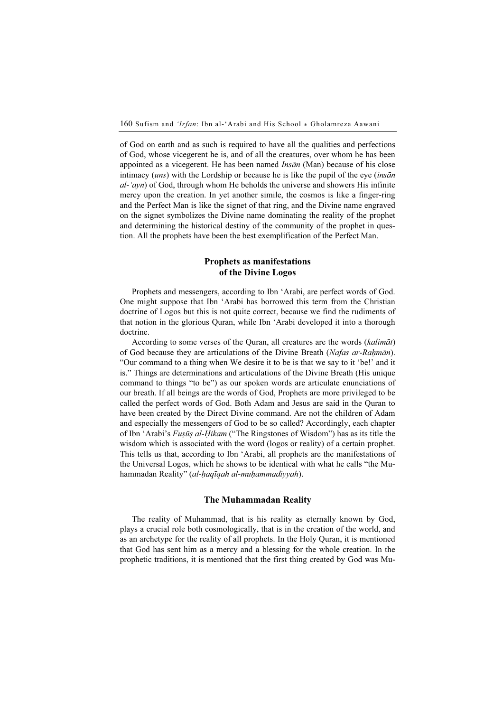of God on earth and as such is required to have all the qualities and perfections of God, whose vicegerent he is, and of all the creatures, over whom he has been appointed as a vicegerent. He has been named *Insān* (Man) because of his close intimacy  $(uns)$  with the Lordship or because he is like the pupil of the eye  $(ins\bar{a}n)$  $al$ -'ayn) of God, through whom He beholds the universe and showers His infinite mercy upon the creation. In yet another simile, the cosmos is like a finger-ring and the Perfect Man is like the signet of that ring, and the Divine name engraved on the signet symbolizes the Divine name dominating the reality of the prophet and determining the historical destiny of the community of the prophet in question. All the prophets have been the best exemplification of the Perfect Man.

# Prophets as manifestations of the Divine Logos

Prophets and messengers, according to Ibn 'Arabi, are perfect words of God. One might suppose that Ibn 'Arabi has borrowed this term from the Christian doctrine of Logos but this is not quite correct, because we find the rudiments of that notion in the glorious Quran, while Ibn 'Arabi developed it into a thorough doctrine.

According to some verses of the Quran, all creatures are the words (kalimāt) of God because they are articulations of the Divine Breath (Nafas ar-Raḥmān). "Our command to a thing when We desire it to be is that we say to it 'be!' and it is." Things are determinations and articulations of the Divine Breath (His unique command to things "to be") as our spoken words are articulate enunciations of our breath. If all beings are the words of God, Prophets are more privileged to be called the perfect words of God. Both Adam and Jesus are said in the Quran to have been created by the Direct Divine command. Are not the children of Adam and especially the messengers of God to be so called? Accordingly, each chapter of Ibn 'Arabi's Fusūs al-Hikam ("The Ringstones of Wisdom") has as its title the wisdom which is associated with the word (logos or reality) of a certain prophet. This tells us that, according to Ibn 'Arabi, all prophets are the manifestations of the Universal Logos, which he shows to be identical with what he calls "the Muhammadan Reality" (*al-haqīqah al-muḥammadiyyah*).

### The Muhammadan Reality

The reality of Muhammad, that is his reality as eternally known by God, plays a crucial role both cosmologically, that is in the creation of the world, and as an archetype for the reality of all prophets. In the Holy Quran, it is mentioned that God has sent him as a mercy and a blessing for the whole creation. In the prophetic traditions, it is mentioned that the first thing created by God was Mu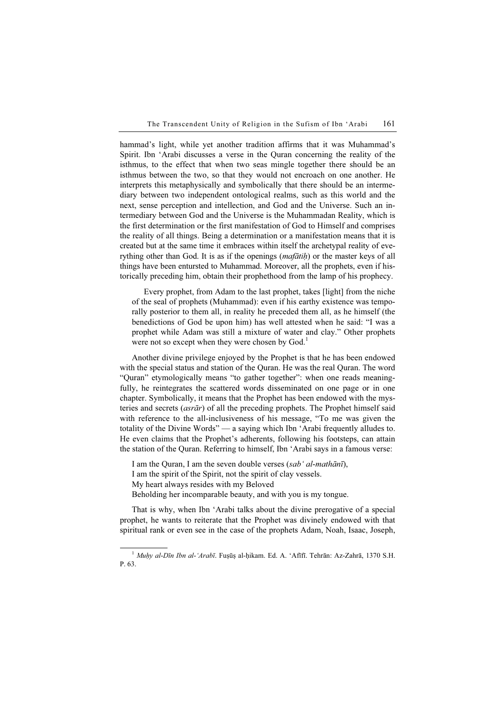hammad's light, while yet another tradition affirms that it was Muhammad's Spirit. Ibn 'Arabi discusses a verse in the Quran concerning the reality of the isthmus, to the effect that when two seas mingle together there should be an isthmus between the two, so that they would not encroach on one another. He interprets this metaphysically and symbolically that there should be an intermediary between two independent ontological realms, such as this world and the next, sense perception and intellection, and God and the Universe. Such an intermediary between God and the Universe is the Muhammadan Reality, which is the first determination or the first manifestation of God to Himself and comprises the reality of all things. Being a determination or a manifestation means that it is created but at the same time it embraces within itself the archetypal reality of everything other than God. It is as if the openings  $(maf\tilde{a}t\tilde{h})$  or the master keys of all things have been entursted to Muhammad. Moreover, all the prophets, even if historically preceding him, obtain their prophethood from the lamp of his prophecy.

Every prophet, from Adam to the last prophet, takes [light] from the niche of the seal of prophets (Muhammad): even if his earthy existence was temporally posterior to them all, in reality he preceded them all, as he himself (the benedictions of God be upon him) has well attested when he said: "I was a prophet while Adam was still a mixture of water and clay." Other prophets were not so except when they were chosen by God.<sup>1</sup>

Another divine privilege enjoyed by the Prophet is that he has been endowed with the special status and station of the Quran. He was the real Quran. The word "Quran" etymologically means "to gather together": when one reads meaningfully, he reintegrates the scattered words disseminated on one page or in one chapter. Symbolically, it means that the Prophet has been endowed with the mysteries and secrets (asrār) of all the preceding prophets. The Prophet himself said with reference to the all-inclusiveness of his message, "To me was given the totality of the Divine Words" — a saying which Ibn 'Arabi frequently alludes to. He even claims that the Prophet's adherents, following his footsteps, can attain the station of the Quran. Referring to himself, Ibn 'Arabi says in a famous verse:

I am the Quran, I am the seven double verses (sab' al-mathānī), I am the spirit of the Spirit, not the spirit of clay vessels. My heart always resides with my Beloved

Beholding her incomparable beauty, and with you is my tongue.

That is why, when Ibn 'Arabi talks about the divine prerogative of a special prophet, he wants to reiterate that the Prophet was divinely endowed with that spiritual rank or even see in the case of the prophets Adam, Noah, Isaac, Joseph,

 $1$  Muḥy al-Dīn Ibn al-'Arabī. Fuṣūṣ al-ḥikam. Ed. A. 'Afīfī. Tehrān: Az-Zahrā, 1370 S.H. P. 63.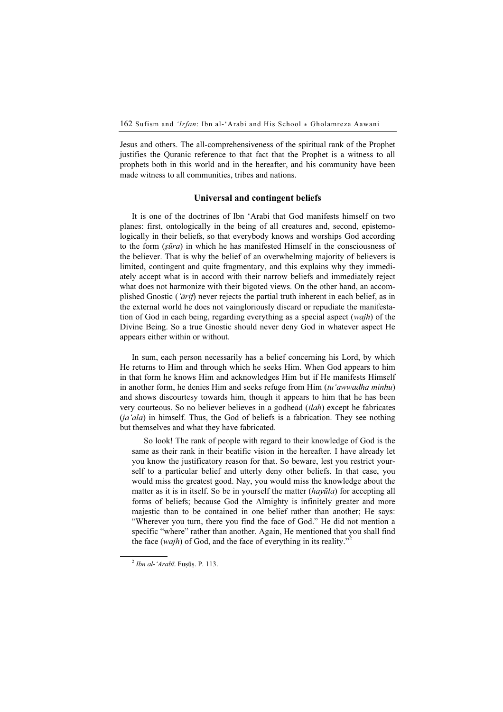Jesus and others. The all-comprehensiveness of the spiritual rank of the Prophet justifies the Quranic reference to that fact that the Prophet is a witness to all prophets both in this world and in the hereafter, and his community have been made witness to all communities, tribes and nations.

### Universal and contingent beliefs

It is one of the doctrines of Ibn 'Arabi that God manifests himself on two planes: first, ontologically in the being of all creatures and, second, epistemologically in their beliefs, so that everybody knows and worships God according to the form  $(sūra)$  in which he has manifested Himself in the consciousness of the believer. That is why the belief of an overwhelming majority of believers is limited, contingent and quite fragmentary, and this explains why they immediately accept what is in accord with their narrow beliefs and immediately reject what does not harmonize with their bigoted views. On the other hand, an accomplished Gnostic ('ārif) never rejects the partial truth inherent in each belief, as in the external world he does not vaingloriously discard or repudiate the manifestation of God in each being, regarding everything as a special aspect (wajh) of the Divine Being. So a true Gnostic should never deny God in whatever aspect He appears either within or without.

In sum, each person necessarily has a belief concerning his Lord, by which He returns to Him and through which he seeks Him. When God appears to him in that form he knows Him and acknowledges Him but if He manifests Himself in another form, he denies Him and seeks refuge from Him (tu'awwadha minhu) and shows discourtesy towards him, though it appears to him that he has been very courteous. So no believer believes in a godhead (ilah) except he fabricates  $(ja'ala)$  in himself. Thus, the God of beliefs is a fabrication. They see nothing but themselves and what they have fabricated.

So look! The rank of people with regard to their knowledge of God is the same as their rank in their beatific vision in the hereafter. I have already let you know the justificatory reason for that. So beware, lest you restrict yourself to a particular belief and utterly deny other beliefs. In that case, you would miss the greatest good. Nay, you would miss the knowledge about the matter as it is in itself. So be in yourself the matter (hayūla) for accepting all forms of beliefs; because God the Almighty is infinitely greater and more majestic than to be contained in one belief rather than another; He says: "Wherever you turn, there you find the face of God." He did not mention a specific "where" rather than another. Again, He mentioned that you shall find the face (wajh) of God, and the face of everything in its reality."<sup>2</sup>

 $^{2}$  Ibn al-'Arabī. Fuṣūṣ. P. 113.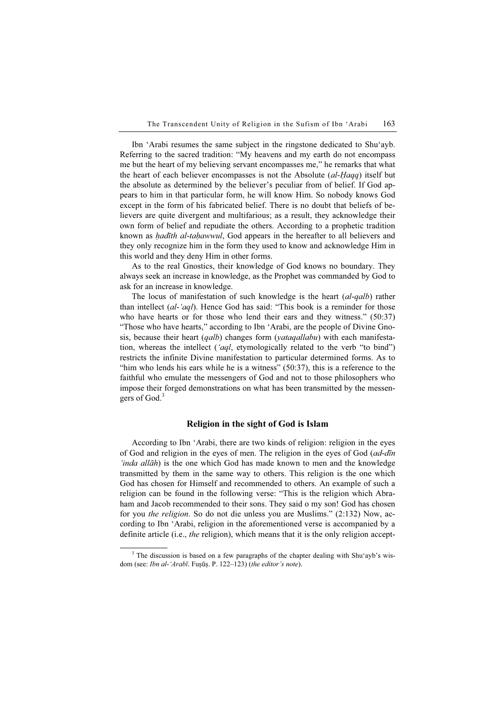Ibn 'Arabi resumes the same subject in the ringstone dedicated to Shu'ayb. Referring to the sacred tradition: "My heavens and my earth do not encompass me but the heart of my believing servant encompasses me," he remarks that what the heart of each believer encompasses is not the Absolute (al-Haqq) itself but the absolute as determined by the believer's peculiar from of belief. If God appears to him in that particular form, he will know Him. So nobody knows God except in the form of his fabricated belief. There is no doubt that beliefs of believers are quite divergent and multifarious; as a result, they acknowledge their own form of belief and repudiate the others. According to a prophetic tradition known as *hadīth al-taḥawwul*, God appears in the hereafter to all believers and they only recognize him in the form they used to know and acknowledge Him in this world and they deny Him in other forms.

As to the real Gnostics, their knowledge of God knows no boundary. They always seek an increase in knowledge, as the Prophet was commanded by God to ask for an increase in knowledge.

The locus of manifestation of such knowledge is the heart (al-qalb) rather than intellect (al-'aql). Hence God has said: "This book is a reminder for those who have hearts or for those who lend their ears and they witness." (50:37) "Those who have hearts," according to Ibn 'Arabi, are the people of Divine Gnosis, because their heart (qalb) changes form (yataqallabu) with each manifestation, whereas the intellect (' $aq$ , etymologically related to the verb "to bind") restricts the infinite Divine manifestation to particular determined forms. As to "him who lends his ears while he is a witness" (50:37), this is a reference to the faithful who emulate the messengers of God and not to those philosophers who impose their forged demonstrations on what has been transmitted by the messengers of God.<sup>3</sup>

#### Religion in the sight of God is Islam

According to Ibn 'Arabi, there are two kinds of religion: religion in the eyes of God and religion in the eyes of men. The religion in the eyes of God (*ad-dīn*) 'inda allāh) is the one which God has made known to men and the knowledge transmitted by them in the same way to others. This religion is the one which God has chosen for Himself and recommended to others. An example of such a religion can be found in the following verse: "This is the religion which Abraham and Jacob recommended to their sons. They said o my son! God has chosen for you the religion. So do not die unless you are Muslims." (2:132) Now, according to Ibn 'Arabi, religion in the aforementioned verse is accompanied by a definite article (i.e., the religion), which means that it is the only religion accept-

<sup>&</sup>lt;sup>3</sup> The discussion is based on a few paragraphs of the chapter dealing with Shu'ayb's wisdom (see: Ibn al-'Arabī. Fuṣūṣ. P. 122–123) (the editor's note).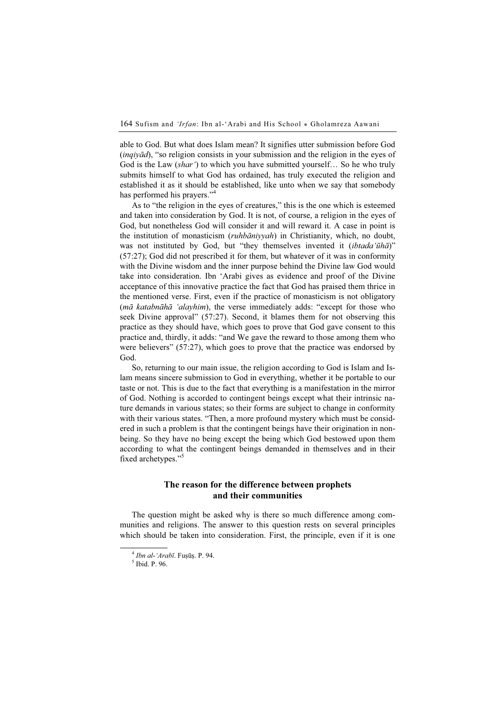able to God. But what does Islam mean? It signifies utter submission before God  $(inq \dot{v} \ddot{\alpha})$ , "so religion consists in your submission and the religion in the eyes of God is the Law  $(shar')$  to which you have submitted yourself... So he who truly submits himself to what God has ordained, has truly executed the religion and established it as it should be established, like unto when we say that somebody has performed his prayers."<sup>4</sup>

As to "the religion in the eyes of creatures," this is the one which is esteemed and taken into consideration by God. It is not, of course, a religion in the eyes of God, but nonetheless God will consider it and will reward it. A case in point is the institution of monasticism (ruhbāniyyah) in Christianity, which, no doubt, was not instituted by God, but "they themselves invented it (ibtada'ūhā)" (57:27); God did not prescribed it for them, but whatever of it was in conformity with the Divine wisdom and the inner purpose behind the Divine law God would take into consideration. Ibn 'Arabi gives as evidence and proof of the Divine acceptance of this innovative practice the fact that God has praised them thrice in the mentioned verse. First, even if the practice of monasticism is not obligatory (mā katabnāhā 'alayhim), the verse immediately adds: "except for those who seek Divine approval" (57:27). Second, it blames them for not observing this practice as they should have, which goes to prove that God gave consent to this practice and, thirdly, it adds: "and We gave the reward to those among them who were believers" (57:27), which goes to prove that the practice was endorsed by God.

So, returning to our main issue, the religion according to God is Islam and Islam means sincere submission to God in everything, whether it be portable to our taste or not. This is due to the fact that everything is a manifestation in the mirror of God. Nothing is accorded to contingent beings except what their intrinsic nature demands in various states; so their forms are subject to change in conformity with their various states. "Then, a more profound mystery which must be considered in such a problem is that the contingent beings have their origination in nonbeing. So they have no being except the being which God bestowed upon them according to what the contingent beings demanded in themselves and in their fixed archetypes."<sup>5</sup>

# The reason for the difference between prophets and their communities

The question might be asked why is there so much difference among communities and religions. The answer to this question rests on several principles which should be taken into consideration. First, the principle, even if it is one

 $4$  Ibn al-'Arabī. Fusūs. P. 94.

 $<sup>5</sup>$  Ibid. P. 96.</sup>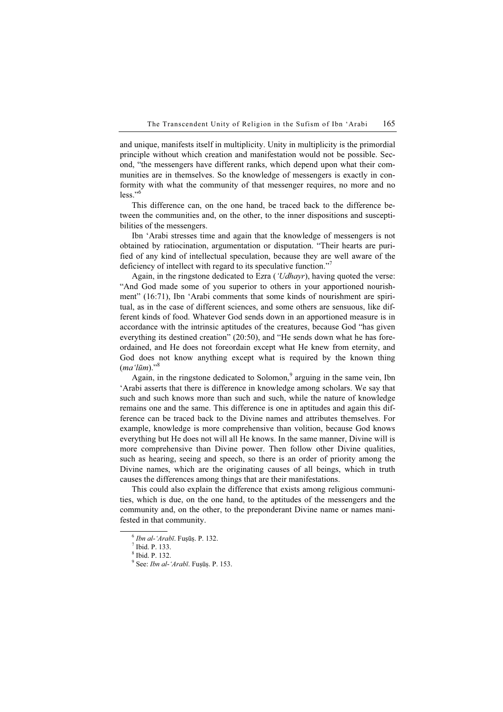and unique, manifests itself in multiplicity. Unity in multiplicity is the primordial principle without which creation and manifestation would not be possible. Second, "the messengers have different ranks, which depend upon what their communities are in themselves. So the knowledge of messengers is exactly in conformity with what the community of that messenger requires, no more and no  $less$ ."<sup>6</sup>

This difference can, on the one hand, be traced back to the difference between the communities and, on the other, to the inner dispositions and susceptibilities of the messengers.

Ibn 'Arabi stresses time and again that the knowledge of messengers is not obtained by ratiocination, argumentation or disputation. "Their hearts are purified of any kind of intellectual speculation, because they are well aware of the deficiency of intellect with regard to its speculative function."

Again, in the ringstone dedicated to Ezra ('Udhayr), having quoted the verse: "And God made some of you superior to others in your apportioned nourishment" (16:71), Ibn 'Arabi comments that some kinds of nourishment are spiritual, as in the case of different sciences, and some others are sensuous, like different kinds of food. Whatever God sends down in an apportioned measure is in accordance with the intrinsic aptitudes of the creatures, because God "has given everything its destined creation" (20:50), and "He sends down what he has foreordained, and He does not foreordain except what He knew from eternity, and God does not know anything except what is required by the known thing  $(ma'l\bar{u}m).$ <sup>38</sup>

Again, in the ringstone dedicated to Solomon,<sup>9</sup> arguing in the same vein, Ibn 'Arabi asserts that there is difference in knowledge among scholars. We say that such and such knows more than such and such, while the nature of knowledge remains one and the same. This difference is one in aptitudes and again this difference can be traced back to the Divine names and attributes themselves. For example, knowledge is more comprehensive than volition, because God knows everything but He does not will all He knows. In the same manner, Divine will is more comprehensive than Divine power. Then follow other Divine qualities, such as hearing, seeing and speech, so there is an order of priority among the Divine names, which are the originating causes of all beings, which in truth causes the differences among things that are their manifestations.

This could also explain the difference that exists among religious communities, which is due, on the one hand, to the aptitudes of the messengers and the community and, on the other, to the preponderant Divine name or names manifested in that community.

 $6$  Ibn al-'Arabī. Fuṣūṣ. P. 132.

 $<sup>7</sup>$  Ibid. P. 133.</sup>

<sup>8</sup> Ibid. P. 132.

 $9^9$  See: *Ibn al-'Arabī*. Fuṣūṣ. P. 153.